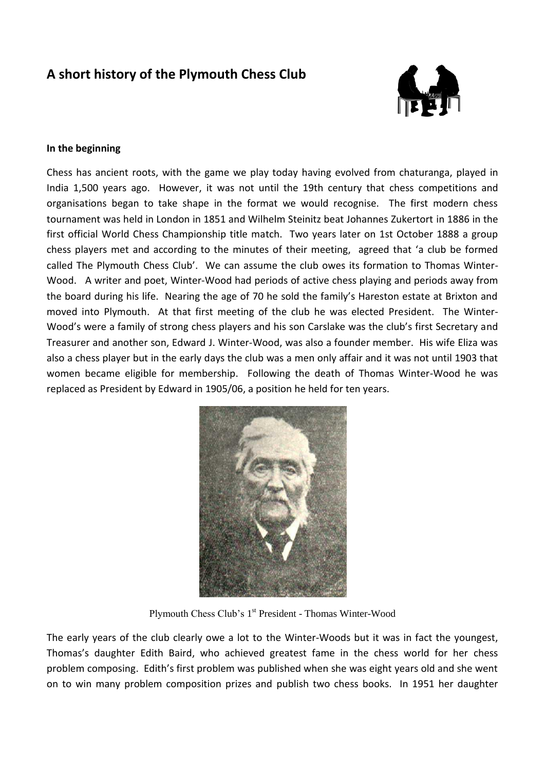# **A short history of the Plymouth Chess Club**



#### **In the beginning**

Chess has ancient roots, with the game we play today having evolved from chaturanga, played in India 1,500 years ago. However, it was not until the 19th century that chess competitions and organisations began to take shape in the format we would recognise. The first modern chess tournament was held in London in 1851 and Wilhelm Steinitz beat Johannes Zukertort in 1886 in the first official World Chess Championship title match. Two years later on 1st October 1888 a group chess players met and according to the minutes of their meeting, agreed that 'a club be formed called The Plymouth Chess Club'. We can assume the club owes its formation to Thomas Winter-Wood. A writer and poet, Winter-Wood had periods of active chess playing and periods away from the board during his life. Nearing the age of 70 he sold the family's Hareston estate at Brixton and moved into Plymouth. At that first meeting of the club he was elected President. The Winter-Wood's were a family of strong chess players and his son Carslake was the club's first Secretary and Treasurer and another son, Edward J. Winter-Wood, was also a founder member. His wife Eliza was also a chess player but in the early days the club was a men only affair and it was not until 1903 that women became eligible for membership. Following the death of Thomas Winter-Wood he was replaced as President by Edward in 1905/06, a position he held for ten years.



Plymouth Chess Club's 1<sup>st</sup> President - Thomas Winter-Wood

The early years of the club clearly owe a lot to the Winter-Woods but it was in fact the youngest, Thomas's daughter Edith Baird, who achieved greatest fame in the chess world for her chess problem composing. Edith's first problem was published when she was eight years old and she went on to win many problem composition prizes and publish two chess books. In 1951 her daughter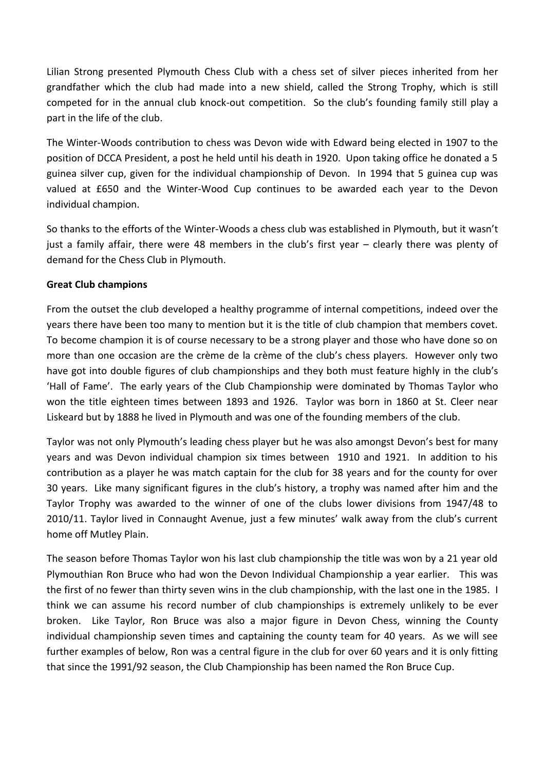Lilian Strong presented Plymouth Chess Club with a chess set of silver pieces inherited from her grandfather which the club had made into a new shield, called the Strong Trophy, which is still competed for in the annual club knock-out competition. So the club's founding family still play a part in the life of the club.

The Winter-Woods contribution to chess was Devon wide with Edward being elected in 1907 to the position of DCCA President, a post he held until his death in 1920. Upon taking office he donated a 5 guinea silver cup, given for the individual championship of Devon. In 1994 that 5 guinea cup was valued at £650 and the Winter-Wood Cup continues to be awarded each year to the Devon individual champion.

So thanks to the efforts of the Winter-Woods a chess club was established in Plymouth, but it wasn't just a family affair, there were 48 members in the club's first year – clearly there was plenty of demand for the Chess Club in Plymouth.

# **Great Club champions**

From the outset the club developed a healthy programme of internal competitions, indeed over the years there have been too many to mention but it is the title of club champion that members covet. To become champion it is of course necessary to be a strong player and those who have done so on more than one occasion are the crème de la crème of the club's chess players. However only two have got into double figures of club championships and they both must feature highly in the club's 'Hall of Fame'. The early years of the Club Championship were dominated by Thomas Taylor who won the title eighteen times between 1893 and 1926. Taylor was born in 1860 at St. Cleer near Liskeard but by 1888 he lived in Plymouth and was one of the founding members of the club.

Taylor was not only Plymouth's leading chess player but he was also amongst Devon's best for many years and was Devon individual champion six times between 1910 and 1921. In addition to his contribution as a player he was match captain for the club for 38 years and for the county for over 30 years. Like many significant figures in the club's history, a trophy was named after him and the Taylor Trophy was awarded to the winner of one of the clubs lower divisions from 1947/48 to 2010/11. Taylor lived in Connaught Avenue, just a few minutes' walk away from the club's current home off Mutley Plain.

The season before Thomas Taylor won his last club championship the title was won by a 21 year old Plymouthian Ron Bruce who had won the Devon Individual Championship a year earlier. This was the first of no fewer than thirty seven wins in the club championship, with the last one in the 1985. I think we can assume his record number of club championships is extremely unlikely to be ever broken. Like Taylor, Ron Bruce was also a major figure in Devon Chess, winning the County individual championship seven times and captaining the county team for 40 years. As we will see further examples of below, Ron was a central figure in the club for over 60 years and it is only fitting that since the 1991/92 season, the Club Championship has been named the Ron Bruce Cup.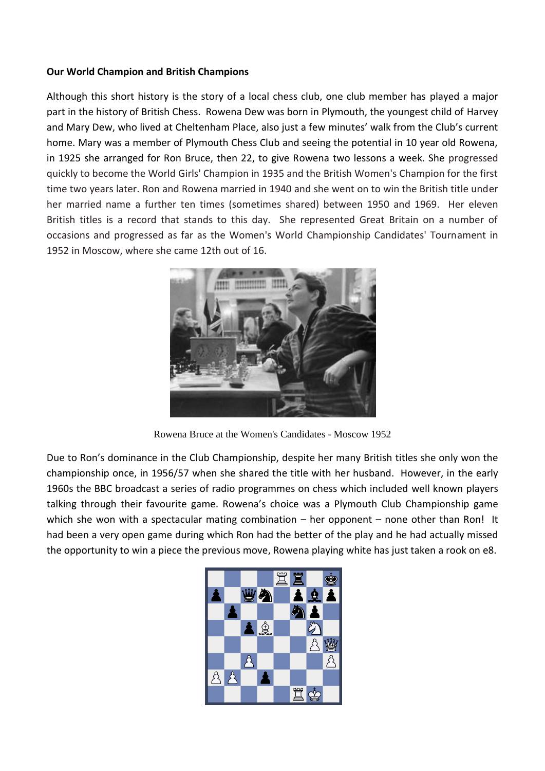### **Our World Champion and British Champions**

Although this short history is the story of a local chess club, one club member has played a major part in the history of British Chess. Rowena Dew was born in Plymouth, the youngest child of Harvey and Mary Dew, who lived at Cheltenham Place, also just a few minutes' walk from the Club's current home. Mary was a member of Plymouth Chess Club and seeing the potential in 10 year old Rowena, in 1925 she arranged for Ron Bruce, then 22, to give Rowena two lessons a week. She progressed quickly to become the World Girls' Champion in 1935 and the British Women's Champion for the first time two years later. Ron and Rowena married in 1940 and she went on to win the British title under her married name a further ten times (sometimes shared) between 1950 and 1969. Her eleven British titles is a record that stands to this day. She represented Great Britain on a number of occasions and progressed as far as the Women's World Championship Candidates' Tournament in 1952 in Moscow, where she came 12th out of 16.



Rowena Bruce at the Women's Candidates - Moscow 1952

Due to Ron's dominance in the Club Championship, despite her many British titles she only won the championship once, in 1956/57 when she shared the title with her husband. However, in the early 1960s the BBC broadcast a series of radio programmes on chess which included well known players talking through their favourite game. Rowena's choice was a Plymouth Club Championship game which she won with a spectacular mating combination – her opponent – none other than Ron! It had been a very open game during which Ron had the better of the play and he had actually missed the opportunity to win a piece the previous move, Rowena playing white has just taken a rook on e8.

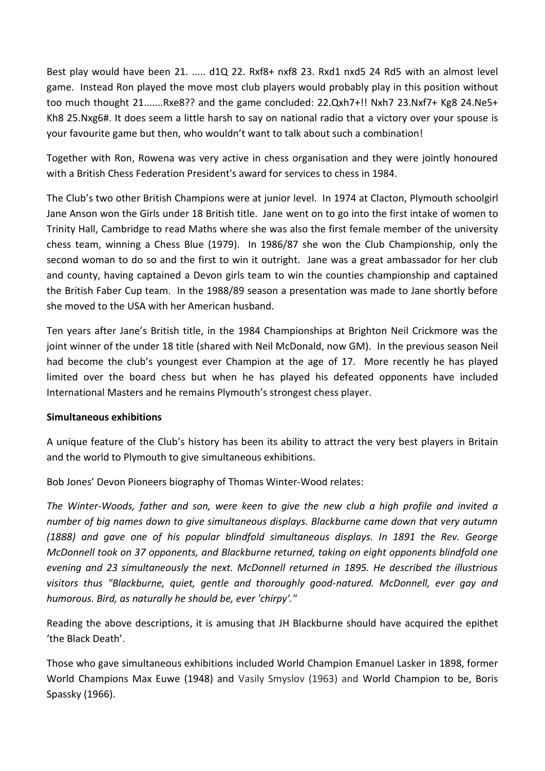Best play would have been 21. ..... d1Q 22. Rxf8+ nxf8 23. Rxd1 nxd5 24 Rd5 with an almost level game. Instead Ron played the move most club players would probably play in this position without too much thought 21.......Rxe8?? and the game concluded: 22.Qxh7+!! Nxh7 23.Nxf7+ Kg8 24.Ne5+ Kh8 25.Nxg6#. It does seem a little harsh to say on national radio that a victory over your spouse is your favourite game but then, who wouldn't want to talk about such a combination!

Together with Ron, Rowena was very active in chess organisation and they were jointly honoured with a British Chess Federation President's award for services to chess in 1984.

The Club's two other British Champions were at junior level. In 1974 at Clacton, Plymouth schoolgirl Jane Anson won the Girls under 18 British title. Jane went on to go into the first intake of women to Trinity Hall, Cambridge to read Maths where she was also the first female member of the university chess team, winning a Chess Blue (1979). In 1986/87 she won the Club Championship, only the second woman to do so and the first to win it outright. Jane was a great ambassador for her club and county, having captained a Devon girls team to win the counties championship and captained the British Faber Cup team. In the 1988/89 season a presentation was made to Jane shortly before she moved to the USA with her American husband.

Ten years after Jane's British title, in the 1984 Championships at Brighton Neil Crickmore was the joint winner of the under 18 title (shared with Neil McDonald, now GM). In the previous season Neil had become the club's youngest ever Champion at the age of 17. More recently he has played limited over the board chess but when he has played his defeated opponents have included International Masters and he remains Plymouth's strongest chess player.

# **Simultaneous exhibitions**

A unique feature of the Club's history has been its ability to attract the very best players in Britain and the world to Plymouth to give simultaneous exhibitions.

Bob Jones' Devon Pioneers biography of Thomas Winter-Wood relates:

*The Winter-Woods, father and son, were keen to give the new club a high profile and invited a number of big names down to give simultaneous displays. Blackburne came down that very autumn (1888) and gave one of his popular blindfold simultaneous displays. In 1891 the Rev. George McDonnell took on 37 opponents, and Blackburne returned, taking on eight opponents blindfold one evening and 23 simultaneously the next. McDonnell returned in 1895. He described the illustrious visitors thus "Blackburne, quiet, gentle and thoroughly good-natured. McDonnell, ever gay and humorous. Bird, as naturally he should be, ever 'chirpy'."* 

Reading the above descriptions, it is amusing that JH Blackburne should have acquired the epithet 'the Black Death'.

Those who gave simultaneous exhibitions included World Champion Emanuel Lasker in 1898, former World Champions Max Euwe (1948) and Vasily Smyslov (1963) and World Champion to be, Boris Spassky (1966).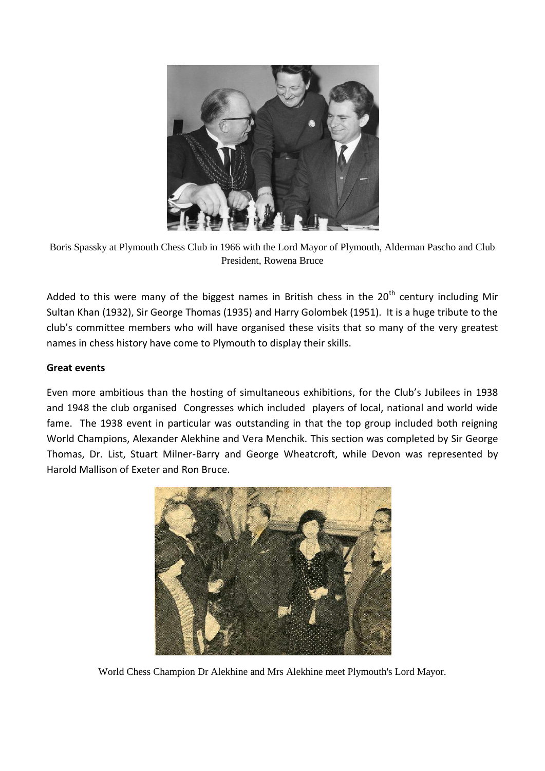

Boris Spassky at Plymouth Chess Club in 1966 with the Lord Mayor of Plymouth, Alderman Pascho and Club President, Rowena Bruce

Added to this were many of the biggest names in British chess in the  $20<sup>th</sup>$  century including Mir Sultan Khan (1932), Sir George Thomas (1935) and Harry Golombek (1951). It is a huge tribute to the club's committee members who will have organised these visits that so many of the very greatest names in chess history have come to Plymouth to display their skills.

# **Great events**

Even more ambitious than the hosting of simultaneous exhibitions, for the Club's Jubilees in 1938 and 1948 the club organised Congresses which included players of local, national and world wide fame. The 1938 event in particular was outstanding in that the top group included both reigning World Champions, Alexander Alekhine and Vera Menchik. This section was completed by Sir George Thomas, Dr. List, Stuart Milner-Barry and George Wheatcroft, while Devon was represented by Harold Mallison of Exeter and Ron Bruce.



World Chess Champion Dr Alekhine and Mrs Alekhine meet Plymouth's Lord Mayor.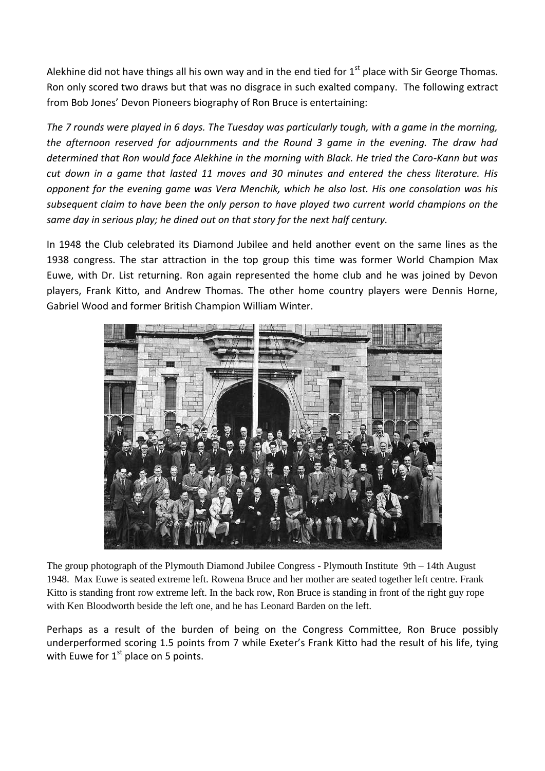Alekhine did not have things all his own way and in the end tied for  $1<sup>st</sup>$  place with Sir George Thomas. Ron only scored two draws but that was no disgrace in such exalted company. The following extract from Bob Jones' Devon Pioneers biography of Ron Bruce is entertaining:

*The 7 rounds were played in 6 days. The Tuesday was particularly tough, with a game in the morning, the afternoon reserved for adjournments and the Round 3 game in the evening. The draw had determined that Ron would face Alekhine in the morning with Black. He tried the Caro-Kann but was cut down in a game that lasted 11 moves and 30 minutes and entered the chess literature. His opponent for the evening game was Vera Menchik, which he also lost. His one consolation was his subsequent claim to have been the only person to have played two current world champions on the same day in serious play; he dined out on that story for the next half century.*

In 1948 the Club celebrated its Diamond Jubilee and held another event on the same lines as the 1938 congress. The star attraction in the top group this time was former World Champion Max Euwe, with Dr. List returning. Ron again represented the home club and he was joined by Devon players, Frank Kitto, and Andrew Thomas. The other home country players were Dennis Horne, Gabriel Wood and former British Champion William Winter.



The group photograph of the Plymouth Diamond Jubilee Congress - Plymouth Institute 9th – 14th August 1948. Max Euwe is seated extreme left. Rowena Bruce and her mother are seated together left centre. Frank Kitto is standing front row extreme left. In the back row, Ron Bruce is standing in front of the right guy rope with Ken Bloodworth beside the left one, and he has Leonard Barden on the left.

Perhaps as a result of the burden of being on the Congress Committee, Ron Bruce possibly underperformed scoring 1.5 points from 7 while Exeter's Frank Kitto had the result of his life, tying with Euwe for  $1<sup>st</sup>$  place on 5 points.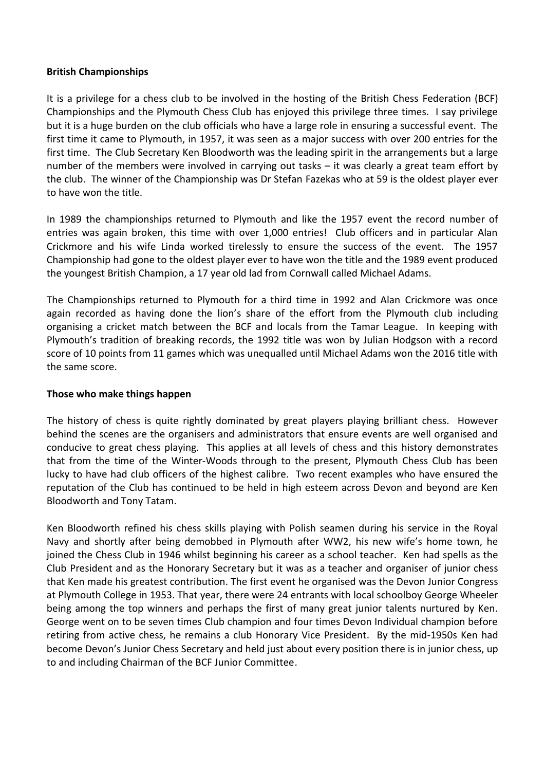### **British Championships**

It is a privilege for a chess club to be involved in the hosting of the British Chess Federation (BCF) Championships and the Plymouth Chess Club has enjoyed this privilege three times. I say privilege but it is a huge burden on the club officials who have a large role in ensuring a successful event. The first time it came to Plymouth, in 1957, it was seen as a major success with over 200 entries for the first time. The Club Secretary Ken Bloodworth was the leading spirit in the arrangements but a large number of the members were involved in carrying out tasks – it was clearly a great team effort by the club. The winner of the Championship was Dr Stefan Fazekas who at 59 is the oldest player ever to have won the title.

In 1989 the championships returned to Plymouth and like the 1957 event the record number of entries was again broken, this time with over 1,000 entries! Club officers and in particular Alan Crickmore and his wife Linda worked tirelessly to ensure the success of the event. The 1957 Championship had gone to the oldest player ever to have won the title and the 1989 event produced the youngest British Champion, a 17 year old lad from Cornwall called Michael Adams.

The Championships returned to Plymouth for a third time in 1992 and Alan Crickmore was once again recorded as having done the lion's share of the effort from the Plymouth club including organising a cricket match between the BCF and locals from the Tamar League. In keeping with Plymouth's tradition of breaking records, the 1992 title was won by Julian Hodgson with a record score of 10 points from 11 games which was unequalled until Michael Adams won the 2016 title with the same score.

# **Those who make things happen**

The history of chess is quite rightly dominated by great players playing brilliant chess. However behind the scenes are the organisers and administrators that ensure events are well organised and conducive to great chess playing. This applies at all levels of chess and this history demonstrates that from the time of the Winter-Woods through to the present, Plymouth Chess Club has been lucky to have had club officers of the highest calibre. Two recent examples who have ensured the reputation of the Club has continued to be held in high esteem across Devon and beyond are Ken Bloodworth and Tony Tatam.

Ken Bloodworth refined his chess skills playing with Polish seamen during his service in the Royal Navy and shortly after being demobbed in Plymouth after WW2, his new wife's home town, he joined the Chess Club in 1946 whilst beginning his career as a school teacher. Ken had spells as the Club President and as the Honorary Secretary but it was as a teacher and organiser of junior chess that Ken made his greatest contribution. The first event he organised was the Devon Junior Congress at Plymouth College in 1953. That year, there were 24 entrants with local schoolboy George Wheeler being among the top winners and perhaps the first of many great junior talents nurtured by Ken. George went on to be seven times Club champion and four times Devon Individual champion before retiring from active chess, he remains a club Honorary Vice President. By the mid-1950s Ken had become Devon's Junior Chess Secretary and held just about every position there is in junior chess, up to and including Chairman of the BCF Junior Committee.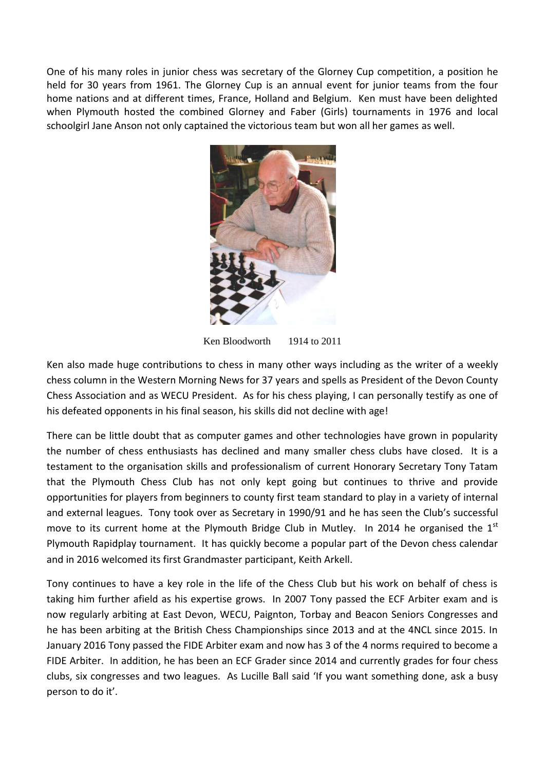One of his many roles in junior chess was secretary of the Glorney Cup competition, a position he held for 30 years from 1961. The Glorney Cup is an annual event for junior teams from the four home nations and at different times, France, Holland and Belgium. Ken must have been delighted when Plymouth hosted the combined Glorney and Faber (Girls) tournaments in 1976 and local schoolgirl Jane Anson not only captained the victorious team but won all her games as well.



Ken Bloodworth 1914 to 2011

Ken also made huge contributions to chess in many other ways including as the writer of a weekly chess column in the Western Morning News for 37 years and spells as President of the Devon County Chess Association and as WECU President. As for his chess playing, I can personally testify as one of his defeated opponents in his final season, his skills did not decline with age!

There can be little doubt that as computer games and other technologies have grown in popularity the number of chess enthusiasts has declined and many smaller chess clubs have closed. It is a testament to the organisation skills and professionalism of current Honorary Secretary Tony Tatam that the Plymouth Chess Club has not only kept going but continues to thrive and provide opportunities for players from beginners to county first team standard to play in a variety of internal and external leagues. Tony took over as Secretary in 1990/91 and he has seen the Club's successful move to its current home at the Plymouth Bridge Club in Mutley. In 2014 he organised the  $1<sup>st</sup>$ Plymouth Rapidplay tournament. It has quickly become a popular part of the Devon chess calendar and in 2016 welcomed its first Grandmaster participant, Keith Arkell.

Tony continues to have a key role in the life of the Chess Club but his work on behalf of chess is taking him further afield as his expertise grows. In 2007 Tony passed the ECF Arbiter exam and is now regularly arbiting at East Devon, WECU, Paignton, Torbay and Beacon Seniors Congresses and he has been arbiting at the British Chess Championships since 2013 and at the 4NCL since 2015. In January 2016 Tony passed the FIDE Arbiter exam and now has 3 of the 4 norms required to become a FIDE Arbiter. In addition, he has been an ECF Grader since 2014 and currently grades for four chess clubs, six congresses and two leagues. As Lucille Ball said 'If you want something done, ask a busy person to do it'.